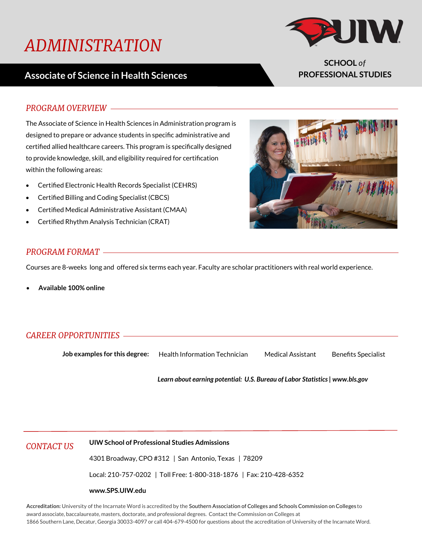# *ADMINISTRATION*

## **Associate of Science in Health Sciences**



**SCHOOL** *of* **PROFESSIONAL STUDIES**

#### *PROGRAM OVERVIEW*

The Associate of Science in Health Sciences in Administration program is designed to prepare or advance students in specific administrative and certified allied healthcare careers. This program is specifically designed to provide knowledge, skill, and eligibility required for certification within the following areas:

- Certified Electronic Health Records Specialist (CEHRS)
- Certified Billing and Coding Specialist (CBCS)
- Certified Medical Administrative Assistant (CMAA)
- Certified Rhythm Analysis Technician (CRAT)



#### *PROGRAM FORMAT*

Courses are 8-weeks long and offered six terms each year. Faculty are scholar practitioners with real world experience.

**Available 100% online** 

### *CAREER OPPORTUNITIES*

**Job examples for this degree:** Health Information Technician Medical Assistant Benefits Specialist

*Learn about earning potential: U.S. Bureau of Labor Statistics | www.bls.gov*

*CONTACT US* **UIW School of Professional Studies Admissions**

4301 Broadway, CPO #312 | San Antonio, Texas | 78209

Local: 210-757-0202 | Toll Free: 1-800-318-1876 | Fax: 210-428-6352

#### **www.SPS.UIW.edu**

**Accreditation:** University of the Incarnate Word is accredited by the Southern Association of Colleges and Schools Commission on Colleges to award associate, baccalaureate, masters, doctorate, and professional degrees. Contact the Commission on Colleges at 1866 Southern Lane, Decatur, Georgia 30033-4097 or call 404-679-4500 for questions about the accreditation of University of the Incarnate Word.